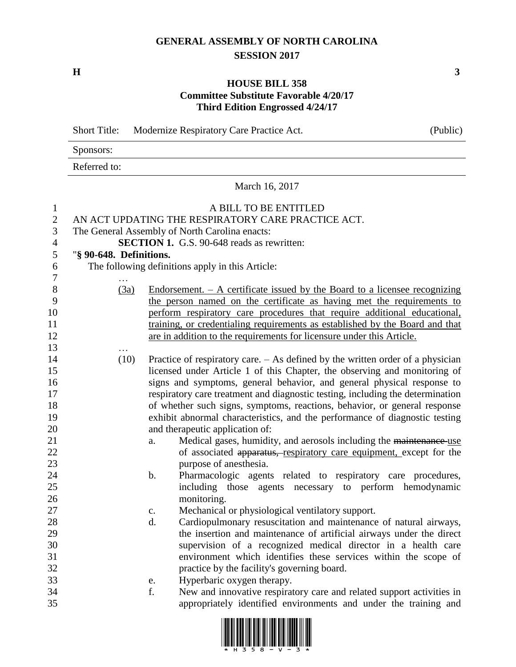## **GENERAL ASSEMBLY OF NORTH CAROLINA SESSION 2017**

**H 3**

## **HOUSE BILL 358 Committee Substitute Favorable 4/20/17 Third Edition Engrossed 4/24/17**

|                | <b>Short Title:</b>                                                         |    | Modernize Respiratory Care Practice Act.                                         | (Public) |  |  |  |
|----------------|-----------------------------------------------------------------------------|----|----------------------------------------------------------------------------------|----------|--|--|--|
|                | Sponsors:                                                                   |    |                                                                                  |          |  |  |  |
|                | Referred to:                                                                |    |                                                                                  |          |  |  |  |
|                | March 16, 2017                                                              |    |                                                                                  |          |  |  |  |
| $\mathbf{1}$   |                                                                             |    | A BILL TO BE ENTITLED                                                            |          |  |  |  |
| $\overline{2}$ | AN ACT UPDATING THE RESPIRATORY CARE PRACTICE ACT.                          |    |                                                                                  |          |  |  |  |
| $\mathfrak{Z}$ | The General Assembly of North Carolina enacts:                              |    |                                                                                  |          |  |  |  |
| $\overline{4}$ |                                                                             |    | <b>SECTION 1.</b> G.S. 90-648 reads as rewritten:                                |          |  |  |  |
| 5              | "§ 90-648. Definitions.                                                     |    |                                                                                  |          |  |  |  |
| 6              |                                                                             |    | The following definitions apply in this Article:                                 |          |  |  |  |
| 7              |                                                                             |    |                                                                                  |          |  |  |  |
| $8\,$          | (3a)                                                                        |    | Endorsement. $- A$ certificate issued by the Board to a licensee recognizing     |          |  |  |  |
| 9              |                                                                             |    | the person named on the certificate as having met the requirements to            |          |  |  |  |
| 10             |                                                                             |    | perform respiratory care procedures that require additional educational,         |          |  |  |  |
| 11             |                                                                             |    | training, or credentialing requirements as established by the Board and that     |          |  |  |  |
| 12             |                                                                             |    | are in addition to the requirements for licensure under this Article.            |          |  |  |  |
| 13             |                                                                             |    |                                                                                  |          |  |  |  |
| 14             | (10)                                                                        |    | Practice of respiratory care. $-$ As defined by the written order of a physician |          |  |  |  |
| 15             |                                                                             |    | licensed under Article 1 of this Chapter, the observing and monitoring of        |          |  |  |  |
| 16             |                                                                             |    | signs and symptoms, general behavior, and general physical response to           |          |  |  |  |
| 17             |                                                                             |    | respiratory care treatment and diagnostic testing, including the determination   |          |  |  |  |
| 18             |                                                                             |    | of whether such signs, symptoms, reactions, behavior, or general response        |          |  |  |  |
| 19             | exhibit abnormal characteristics, and the performance of diagnostic testing |    |                                                                                  |          |  |  |  |
| 20             |                                                                             |    | and therapeutic application of:                                                  |          |  |  |  |
| 21             |                                                                             | a. | Medical gases, humidity, and aerosols including the maintenance use              |          |  |  |  |
| 22             |                                                                             |    | of associated apparatus, respiratory care equipment, except for the              |          |  |  |  |
| 23             |                                                                             |    | purpose of anesthesia.                                                           |          |  |  |  |
| 24             |                                                                             | b. | Pharmacologic agents related to respiratory care procedures,                     |          |  |  |  |
| 25             |                                                                             |    | including those agents necessary to perform hemodynamic                          |          |  |  |  |
| 26             |                                                                             |    | monitoring.                                                                      |          |  |  |  |
| 27             |                                                                             | c. | Mechanical or physiological ventilatory support.                                 |          |  |  |  |
| 28             |                                                                             | d. | Cardiopulmonary resuscitation and maintenance of natural airways,                |          |  |  |  |
| 29             |                                                                             |    | the insertion and maintenance of artificial airways under the direct             |          |  |  |  |
| 30             |                                                                             |    | supervision of a recognized medical director in a health care                    |          |  |  |  |
| 31             |                                                                             |    | environment which identifies these services within the scope of                  |          |  |  |  |
| 32             |                                                                             |    | practice by the facility's governing board.                                      |          |  |  |  |
| 33             |                                                                             | e. | Hyperbaric oxygen therapy.                                                       |          |  |  |  |
| 34             |                                                                             | f. | New and innovative respiratory care and related support activities in            |          |  |  |  |
| 35             |                                                                             |    | appropriately identified environments and under the training and                 |          |  |  |  |

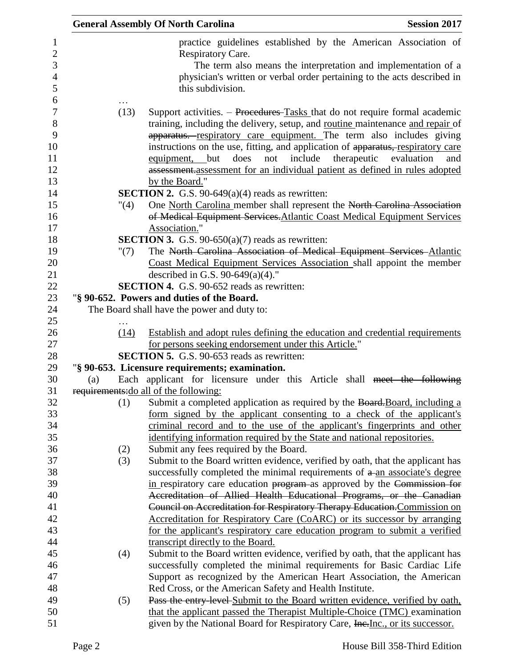|     |         | <b>General Assembly Of North Carolina</b>                                                                                                                | <b>Session 2017</b> |
|-----|---------|----------------------------------------------------------------------------------------------------------------------------------------------------------|---------------------|
|     |         | practice guidelines established by the American Association of                                                                                           |                     |
|     |         | Respiratory Care.                                                                                                                                        |                     |
|     |         | The term also means the interpretation and implementation of a                                                                                           |                     |
|     |         | physician's written or verbal order pertaining to the acts described in                                                                                  |                     |
|     |         | this subdivision.                                                                                                                                        |                     |
|     | (13)    | Support activities. – Procedures-Tasks that do not require formal academic                                                                               |                     |
|     |         | training, including the delivery, setup, and routine maintenance and repair of                                                                           |                     |
|     |         | apparatus. respiratory care equipment. The term also includes giving                                                                                     |                     |
|     |         | instructions on the use, fitting, and application of apparatus, respiratory care                                                                         |                     |
|     |         | therapeutic<br>does<br>not<br>include<br>equipment, but                                                                                                  | evaluation<br>and   |
|     |         | assessment.assessment for an individual patient as defined in rules adopted                                                                              |                     |
|     |         | by the Board."                                                                                                                                           |                     |
|     |         | <b>SECTION 2.</b> G.S. 90-649 $(a)(4)$ reads as rewritten:                                                                                               |                     |
|     | "(4)    | One North Carolina member shall represent the North Carolina Association                                                                                 |                     |
|     |         | of Medical Equipment Services. Atlantic Coast Medical Equipment Services<br>Association."                                                                |                     |
|     |         | <b>SECTION 3.</b> G.S. 90-650(a)(7) reads as rewritten:                                                                                                  |                     |
|     | " $(7)$ | The North Carolina Association of Medical Equipment Services Atlantic                                                                                    |                     |
|     |         | Coast Medical Equipment Services Association shall appoint the member                                                                                    |                     |
|     |         | described in G.S. 90-649(a)(4)."                                                                                                                         |                     |
|     |         | <b>SECTION 4.</b> G.S. 90-652 reads as rewritten:                                                                                                        |                     |
|     |         | "§ 90-652. Powers and duties of the Board.                                                                                                               |                     |
|     |         | The Board shall have the power and duty to:                                                                                                              |                     |
|     |         |                                                                                                                                                          |                     |
|     | (14)    | Establish and adopt rules defining the education and credential requirements                                                                             |                     |
|     |         | for persons seeking endorsement under this Article."                                                                                                     |                     |
|     |         | <b>SECTION 5.</b> G.S. 90-653 reads as rewritten:                                                                                                        |                     |
| (a) |         | "§ 90-653. Licensure requirements; examination.<br>Each applicant for licensure under this Article shall meet the following                              |                     |
|     |         | requirements: do all of the following:                                                                                                                   |                     |
|     | (1)     | Submit a completed application as required by the Board. Board, including a                                                                              |                     |
|     |         | form signed by the applicant consenting to a check of the applicant's                                                                                    |                     |
|     |         | criminal record and to the use of the applicant's fingerprints and other                                                                                 |                     |
|     |         | identifying information required by the State and national repositories.                                                                                 |                     |
|     | (2)     | Submit any fees required by the Board.                                                                                                                   |                     |
|     | (3)     | Submit to the Board written evidence, verified by oath, that the applicant has                                                                           |                     |
|     |         | successfully completed the minimal requirements of a an associate's degree                                                                               |                     |
|     |         | in respiratory care education program as approved by the Commission for                                                                                  |                     |
|     |         | Accreditation of Allied Health Educational Programs, or the Canadian                                                                                     |                     |
|     |         | Council on Accreditation for Respiratory Therapy Education. Commission on                                                                                |                     |
|     |         | Accreditation for Respiratory Care (CoARC) or its successor by arranging                                                                                 |                     |
|     |         | for the applicant's respiratory care education program to submit a verified                                                                              |                     |
|     |         | transcript directly to the Board.                                                                                                                        |                     |
|     | (4)     | Submit to the Board written evidence, verified by oath, that the applicant has<br>successfully completed the minimal requirements for Basic Cardiac Life |                     |
|     |         | Support as recognized by the American Heart Association, the American                                                                                    |                     |
|     |         | Red Cross, or the American Safety and Health Institute.                                                                                                  |                     |
|     | (5)     | Pass the entry-level Submit to the Board written evidence, verified by oath,                                                                             |                     |
|     |         | that the applicant passed the Therapist Multiple-Choice (TMC) examination                                                                                |                     |
|     |         | given by the National Board for Respiratory Care, Inc., or its successor.                                                                                |                     |